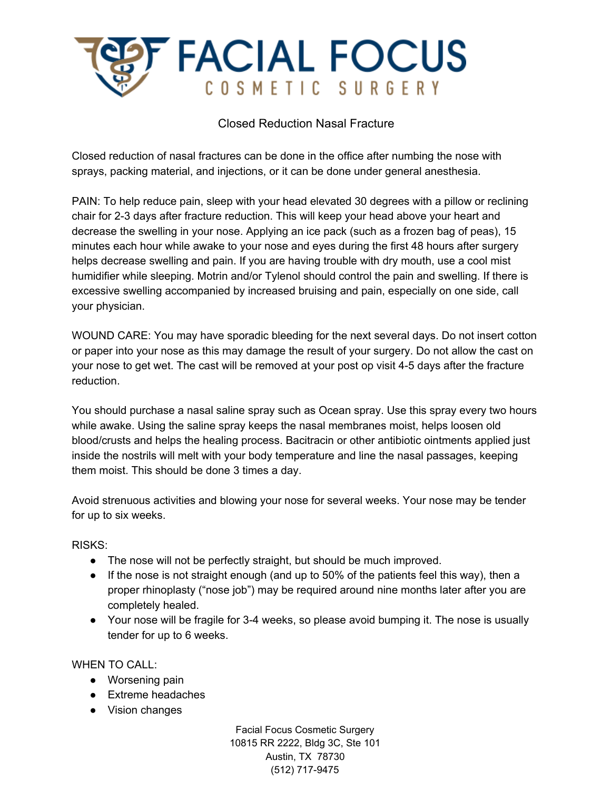

## Closed Reduction Nasal Fracture

Closed reduction of nasal fractures can be done in the office after numbing the nose with sprays, packing material, and injections, or it can be done under general anesthesia.

PAIN: To help reduce pain, sleep with your head elevated 30 degrees with a pillow or reclining chair for 2-3 days after fracture reduction. This will keep your head above your heart and decrease the swelling in your nose. Applying an ice pack (such as a frozen bag of peas), 15 minutes each hour while awake to your nose and eyes during the first 48 hours after surgery helps decrease swelling and pain. If you are having trouble with dry mouth, use a cool mist humidifier while sleeping. Motrin and/or Tylenol should control the pain and swelling. If there is excessive swelling accompanied by increased bruising and pain, especially on one side, call your physician.

WOUND CARE: You may have sporadic bleeding for the next several days. Do not insert cotton or paper into your nose as this may damage the result of your surgery. Do not allow the cast on your nose to get wet. The cast will be removed at your post op visit 4-5 days after the fracture reduction.

You should purchase a nasal saline spray such as Ocean spray. Use this spray every two hours while awake. Using the saline spray keeps the nasal membranes moist, helps loosen old blood/crusts and helps the healing process. Bacitracin or other antibiotic ointments applied just inside the nostrils will melt with your body temperature and line the nasal passages, keeping them moist. This should be done 3 times a day.

Avoid strenuous activities and blowing your nose for several weeks. Your nose may be tender for up to six weeks.

RISKS:

- The nose will not be perfectly straight, but should be much improved.
- If the nose is not straight enough (and up to 50% of the patients feel this way), then a proper rhinoplasty ("nose job") may be required around nine months later after you are completely healed.
- Your nose will be fragile for 3-4 weeks, so please avoid bumping it. The nose is usually tender for up to 6 weeks.

WHEN TO CALL:

- Worsening pain
- Extreme headaches
- Vision changes

Facial Focus Cosmetic Surgery 10815 RR 2222, Bldg 3C, Ste 101 Austin, TX 78730 (512) 717-9475